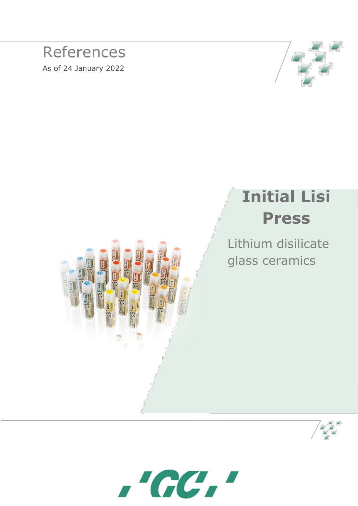### References As of 24 January 2022



# **Initial Lisi Press**

Lithium disilicate glass ceramics





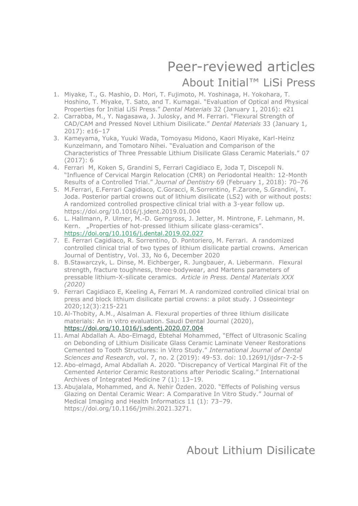# Peer-reviewed articles

#### About Initial™ LiSi Press

- 1. Miyake, T., G. Mashio, D. Mori, T. Fujimoto, M. Yoshinaga, H. Yokohara, T. Hoshino, T. Miyake, T. Sato, and T. Kumagai. "Evaluation of Optical and Physical Properties for Initial LiSi Press." *Dental Materials* 32 (January 1, 2016): e21
- 2. Carrabba, M., Y. Nagasawa, J. Julosky, and M. Ferrari. "Flexural Strength of CAD/CAM and Pressed Novel Lithium Disilicate." *Dental Materials* 33 (January 1, 2017): e16–17
- 3. Kameyama, Yuka, Yuuki Wada, Tomoyasu Midono, Kaori Miyake, Karl-Heinz Kunzelmann, and Tomotaro Nihei. "Evaluation and Comparison of the Characteristics of Three Pressable Lithium Disilicate Glass Ceramic Materials." 07 (2017): 6
- 4. Ferrari M, Koken S, Grandini S, Ferrari Cagidiaco E, Joda T, Discepoli N. "Influence of Cervical Margin Relocation (CMR) on Periodontal Health: 12-Month Results of a Controlled Trial." *Journal of Dentistry* 69 (February 1, 2018): 70–76
- 5. [M.Ferrari, E.Ferrari Cagidiaco, C.Goracci,](https://www.sciencedirect.com/science/article/pii/S0300571219300077#!) [R.Sorrentino,](file://///gcint.corp/Data/Data%20GCE-HQ/Marketing/PM%20-%20Professional%20Services/Scientific%20Affairs/Literature/Literature%20references/Laboratory/Initial%20LiSiPress%20(checked%20but%20not%20complete)/R.Sorrentino,%20) [F.Zarone,](file://///gcint.corp/Data/Data%20GCE-HQ/Marketing/PM%20-%20Professional%20Services/Scientific%20Affairs/Literature/Literature%20references/Laboratory/Initial%20LiSiPress%20(checked%20but%20not%20complete)/F.Zarone,%20) [S.Grandini,](https://www.sciencedirect.com/science/article/pii/S0300571219300077#!) T. Joda. Posterior partial crowns out of lithium disilicate (LS2) with or without posts: A randomized controlled prospective clinical trial with a 3-year follow up. <https://doi.org/10.1016/j.jdent.2019.01.004>
- 6. L. Hallmann, P. Ulmer, M.-D. Gerngross, J. Jetter, M. Mintrone, F. Lehmann, M. Kern. "Properties of hot-pressed lithium silicate glass-ceramics". <https://doi.org/10.1016/j.dental.2019.02.027>
- 7. E. Ferrari Cagidiaco, R. Sorrentino, D. Pontoriero, M. Ferrari. A randomized controlled clinical trial of two types of lithium disilicate partial crowns. American Journal of Dentistry, Vol. 33, No 6, December 2020
- 8. B.Stawarczyk, L. Dinse, M. Eichberger, R. Jungbauer, A. Liebermann.Flexural strength, fracture toughness, three-bodywear, and Martens parameters of pressable lithium-X-silicate ceramics. *Article in Press. Dental Materials XXX (2020)*
- 9. Ferrari Cagidiaco E, Keeling A, Ferrari M. A randomized controlled clinical trial on press and block lithium disilicate partial crowns: a pilot study. J Osseointegr 2020;12(3):215-221
- 10.Al-Thobity, A.M., Alsalman A. Flexural properties of three lithium disilicate materials: An in vitro evaluation. Saudi Dental Journal (2020), <https://doi.org/10.1016/j.sdentj.2020.07.004>
- 11.Amal Abdallah A. Abo-Elmagd, Ebtehal Mohammed, "Effect of Ultrasonic Scaling on Debonding of Lithium Disilicate Glass Ceramic Laminate Veneer Restorations Cemented to Tooth Structures: in Vitro Study." *International Journal of Dental Sciences and Research*, vol. 7, no. 2 (2019): 49-53. doi: 10.12691/ijdsr-7-2-5
- 12.Abo-elmagd, Amal Abdallah A. 2020. "Discrepancy of Vertical Marginal Fit of the Cemented Anterior Ceramic Restorations after Periodic Scaling." International Archives of Integrated Medicine 7 (1): 13–19.
- 13.Abujalala, Mohammed, and A. Nehir Özden. 2020. "Effects of Polishing versus Glazing on Dental Ceramic Wear: A Comparative In Vitro Study." Journal of Medical Imaging and Health Informatics 11 (1): 73–79. https://doi.org/10.1166/jmihi.2021.3271.

About Lithium Disilicate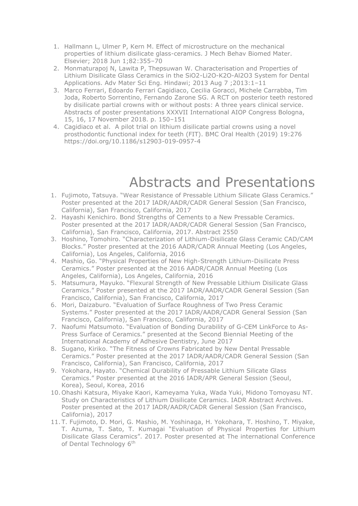- 1. Hallmann L, Ulmer P, Kern M. Effect of microstructure on the mechanical properties of lithium disilicate glass-ceramics. J Mech Behav Biomed Mater. Elsevier; 2018 Jun 1;82:355–70
- 2. Monmaturapoj N, Lawita P, Thepsuwan W. Characterisation and Properties of Lithium Disilicate Glass Ceramics in the SiO2-Li2O-K2O-Al2O3 System for Dental Applications. Adv Mater Sci Eng. Hindawi; 2013 Aug 7 ;2013:1–11
- 3. Marco Ferrari, Edoardo Ferrari Cagidiaco, Cecilia Goracci, Michele Carrabba, Tim Joda, Roberto Sorrentino, Fernando Zarone SG. A RCT on posterior teeth restored by disilicate partial crowns with or without posts: A three years clinical service. Abstracts of poster presentations XXXVII International AIOP Congress Bologna, 15, 16, 17 November 2018. p. 150–151
- 4. Cagidiaco et al. A pilot trial on lithium disilicate partial crowns using a novel prosthodontic functional index for teeth (FIT). BMC Oral Health (2019) 19:276 https://doi.org/10.1186/s12903-019-0957-4

### Abstracts and Presentations

- 1. Fujimoto, Tatsuya. "Wear Resistance of Pressable Lithium Silicate Glass Ceramics." Poster presented at the 2017 IADR/AADR/CADR General Session (San Francisco, California), San Francisco, California, 2017
- 2. Hayashi Kenichiro. Bond Strengths of Cements to a New Pressable Ceramics. Poster presented at the 2017 IADR/AADR/CADR General Session (San Francisco, California), San Francisco, California, 2017. Abstract 2550
- 3. Hoshino, Tomohiro. "Characterization of Lithium-Disilicate Glass Ceramic CAD/CAM Blocks." Poster presented at the 2016 AADR/CADR Annual Meeting (Los Angeles, California), Los Angeles, California, 2016
- 4. Mashio, Go. "Physical Properties of New High-Strength Lithium-Disilicate Press Ceramics." Poster presented at the 2016 AADR/CADR Annual Meeting (Los Angeles, California), Los Angeles, California, 2016
- 5. Matsumura, Mayuko. "Flexural Strength of New Pressable Lithium Disilicate Glass Ceramics." Poster presented at the 2017 IADR/AADR/CADR General Session (San Francisco, California), San Francisco, California, 2017
- 6. Mori, Daizaburo. "Evaluation of Surface Roughness of Two Press Ceramic Systems." Poster presented at the 2017 IADR/AADR/CADR General Session (San Francisco, California), San Francisco, California, 2017
- 7. Naofumi Matsumoto. "Evaluation of Bonding Durability of G-CEM LinkForce to As-Press Surface of Ceramics." presented at the Second Biennial Meeting of the International Academy of Adhesive Dentistry, June 2017
- 8. Sugano, Kiriko. "The Fitness of Crowns Fabricated by New Dental Pressable Ceramics." Poster presented at the 2017 IADR/AADR/CADR General Session (San Francisco, California), San Francisco, California, 2017
- 9. Yokohara, Hayato. "Chemical Durability of Pressable Lithium Silicate Glass Ceramics." Poster presented at the 2016 IADR/APR General Session (Seoul, Korea), Seoul, Korea, 2016
- 10. Ohashi Katsura, Miyake Kaori, Kameyama Yuka, Wada Yuki, Midono Tomoyasu NT. Study on Characteristics of Lithium Disilicate Ceramics. IADR Abstract Archives. Poster presented at the 2017 IADR/AADR/CADR General Session (San Francisco, California), 2017
- 11. T. Fujimoto, D. Mori, G. Mashio, M. Yoshinaga, H. Yokohara, T. Hoshino, T. Miyake, T. Azuma, T. Sato, T. Kumagai "Evaluation of Physical Properties for Lithium Disilicate Glass Ceramics". 2017. Poster presented at The international Conference of Dental Technology 6<sup>th</sup>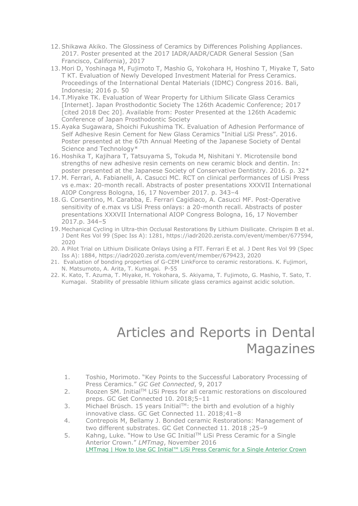- 12.Shikawa Akiko. The Glossiness of Ceramics by Differences Polishing Appliances. 2017. Poster presented at the 2017 IADR/AADR/CADR General Session (San Francisco, California), 2017
- 13. Mori D, Yoshinaga M, Fujimoto T, Mashio G, Yokohara H, Hoshino T, Miyake T, Sato T KT. Evaluation of Newly Developed Investment Material for Press Ceramics. Proceedings of the International Dental Materials (IDMC) Congress 2016. Bali, Indonesia; 2016 p. 50
- 14. T.Miyake TK. Evaluation of Wear Property for Lithium Silicate Glass Ceramics [Internet]. Japan Prosthodontic Society The 126th Academic Conference; 2017 [cited 2018 Dec 20]. Available from: Poster Presented at the 126th Academic Conference of Japan Prosthodontic Society
- 15.Ayaka Sugawara, Shoichi Fukushima TK. Evaluation of Adhesion Performance of Self Adhesive Resin Cement for New Glass Ceramics "Initial LiSi Press". 2016. Poster presented at the 67th Annual Meeting of the Japanese Society of Dental Science and Technology\*
- 16. Hoshika T, Kajihara T, Tatsuyama S, Tokuda M, Nishitani Y. Microtensile bond strengths of new adhesive resin cements on new ceramic block and dentin. In: poster presented at the Japanese Society of Conservative Dentistry. 2016. p. 32\*
- 17. M. Ferrari, A. Fabianelli, A. Casucci MC. RCT on clinical performances of LiSi Press vs e.max: 20-month recall. Abstracts of poster presentations XXXVII International AIOP Congress Bologna, 16, 17 November 2017. p. 343–4
- 18. G. Corsentino, M. Carabba, E. Ferrari Cagidiaco, A. Casucci MF. Post-Operative sensitivity of e.max vs LiSi Press onlays: a 20-month recall. Abstracts of poster presentations XXXVII International AIOP Congress Bologna, 16, 17 November 2017.p. 344–5
- 19. Mechanical Cycling in Ultra-thin Occlusal Restorations By Lithium Disilicate. Chrispim B et al. J Dent Res Vol 99 (Spec Iss A): 1281, https://iadr2020.zerista.com/event/member/677594, 2020
- 20. A Pilot Trial on Lithium Disilicate Onlays Using a FIT. Ferrari E et al. J Dent Res Vol 99 (Spec Iss A): 1884, https://iadr2020.zerista.com/event/member/679423, 2020
- 21. Evaluation of bonding properties of G-CEM LinkForce to ceramic restorations. K. Fujimori, N. Matsumoto, A. Arita, T. Kumagai. P-55
- 22. K. Kato, T. Azuma, T. Miyake, H. Yokohara, S. Akiyama, T. Fujimoto, G. Mashio, T. Sato, T. Kumagai. Stability of pressable lithium silicate glass ceramics against acidic solution.

## Articles and Reports in Dental Magazines

- 1. Toshio, Morimoto. "Key Points to the Successful Laboratory Processing of Press Ceramics." *GC Get Connected*, 9, 2017
- 2. Roozen SM. Initial™ LiSi Press for all ceramic restorations on discoloured preps. GC Get Connected 10. 2018;5–11
- 3. Michael Brüsch. 15 years Initial $TM$ : the birth and evolution of a highly innovative class. GC Get Connected 11. 2018;41–8
- 4. Contrepois M, Bellamy J. Bonded ceramic Restorations: Management of two different substrates. GC Get Connected 11. 2018 ;25–9
- 5. Kahng, Luke. "How to Use GC InitialTM LiSi Press Ceramic for a Single Anterior Crown." *LMTmag*, November 2016 [LMTmag | How to Use GC Initial™ LiSi Press Ceramic for a Single Anterior Crown](https://lmtmag.com/articles/how-to-use-gc-initial-tm-lisi-press-ceramic-for-a-single-anterior-crown)